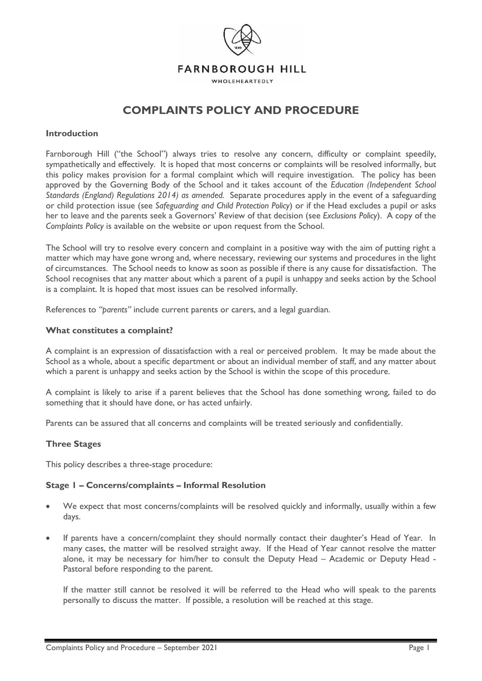

WHOLEHEARTEDLY

# **COMPLAINTS POLICY AND PROCEDURE**

## **Introduction**

Farnborough Hill ("the School") always tries to resolve any concern, difficulty or complaint speedily, sympathetically and effectively. It is hoped that most concerns or complaints will be resolved informally, but this policy makes provision for a formal complaint which will require investigation. The policy has been approved by the Governing Body of the School and it takes account of the *Education (Independent School Standards (England) Regulations 2014) as amended.* Separate procedures apply in the event of a safeguarding or child protection issue (see *Safeguarding and Child Protection Policy*) or if the Head excludes a pupil or asks her to leave and the parents seek a Governors' Review of that decision (see *Exclusions Policy*). A copy of the *Complaints Policy* is available on the website or upon request from the School.

The School will try to resolve every concern and complaint in a positive way with the aim of putting right a matter which may have gone wrong and, where necessary, reviewing our systems and procedures in the light of circumstances. The School needs to know as soon as possible if there is any cause for dissatisfaction. The School recognises that any matter about which a parent of a pupil is unhappy and seeks action by the School is a complaint. It is hoped that most issues can be resolved informally.

References to *"parents"* include current parents or carers, and a legal guardian.

## **What constitutes a complaint?**

A complaint is an expression of dissatisfaction with a real or perceived problem. It may be made about the School as a whole, about a specific department or about an individual member of staff, and any matter about which a parent is unhappy and seeks action by the School is within the scope of this procedure.

A complaint is likely to arise if a parent believes that the School has done something wrong, failed to do something that it should have done, or has acted unfairly.

Parents can be assured that all concerns and complaints will be treated seriously and confidentially.

## **Three Stages**

This policy describes a three-stage procedure:

## **Stage 1 – Concerns/complaints – Informal Resolution**

- We expect that most concerns/complaints will be resolved quickly and informally, usually within a few days.
- If parents have a concern/complaint they should normally contact their daughter's Head of Year. In many cases, the matter will be resolved straight away. If the Head of Year cannot resolve the matter alone, it may be necessary for him/her to consult the Deputy Head – Academic or Deputy Head - Pastoral before responding to the parent.

If the matter still cannot be resolved it will be referred to the Head who will speak to the parents personally to discuss the matter. If possible, a resolution will be reached at this stage.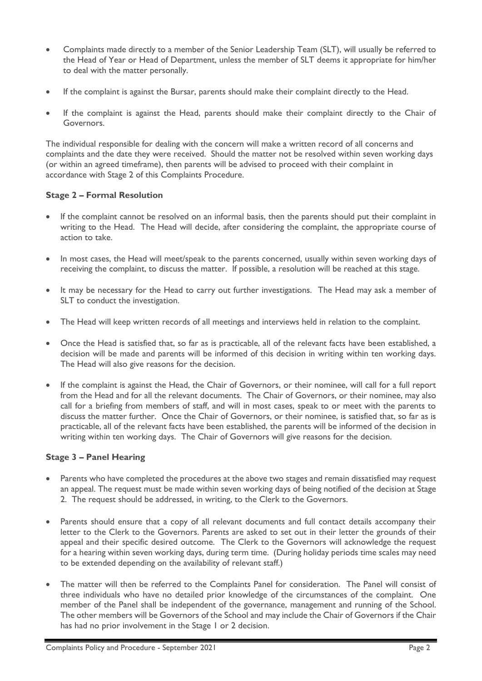- Complaints made directly to a member of the Senior Leadership Team (SLT), will usually be referred to the Head of Year or Head of Department, unless the member of SLT deems it appropriate for him/her to deal with the matter personally.
- If the complaint is against the Bursar, parents should make their complaint directly to the Head.
- If the complaint is against the Head, parents should make their complaint directly to the Chair of Governors.

The individual responsible for dealing with the concern will make a written record of all concerns and complaints and the date they were received. Should the matter not be resolved within seven working days (or within an agreed timeframe), then parents will be advised to proceed with their complaint in accordance with Stage 2 of this Complaints Procedure.

# **Stage 2 – Formal Resolution**

- If the complaint cannot be resolved on an informal basis, then the parents should put their complaint in writing to the Head. The Head will decide, after considering the complaint, the appropriate course of action to take.
- In most cases, the Head will meet/speak to the parents concerned, usually within seven working days of receiving the complaint, to discuss the matter. If possible, a resolution will be reached at this stage.
- It may be necessary for the Head to carry out further investigations. The Head may ask a member of SLT to conduct the investigation.
- The Head will keep written records of all meetings and interviews held in relation to the complaint.
- Once the Head is satisfied that, so far as is practicable, all of the relevant facts have been established, a decision will be made and parents will be informed of this decision in writing within ten working days. The Head will also give reasons for the decision.
- If the complaint is against the Head, the Chair of Governors, or their nominee, will call for a full report from the Head and for all the relevant documents. The Chair of Governors, or their nominee, may also call for a briefing from members of staff, and will in most cases, speak to or meet with the parents to discuss the matter further. Once the Chair of Governors, or their nominee, is satisfied that, so far as is practicable, all of the relevant facts have been established, the parents will be informed of the decision in writing within ten working days. The Chair of Governors will give reasons for the decision.

## **Stage 3 – Panel Hearing**

- Parents who have completed the procedures at the above two stages and remain dissatisfied may request an appeal. The request must be made within seven working days of being notified of the decision at Stage 2. The request should be addressed, in writing, to the Clerk to the Governors.
- Parents should ensure that a copy of all relevant documents and full contact details accompany their letter to the Clerk to the Governors. Parents are asked to set out in their letter the grounds of their appeal and their specific desired outcome. The Clerk to the Governors will acknowledge the request for a hearing within seven working days, during term time. (During holiday periods time scales may need to be extended depending on the availability of relevant staff.)
- The matter will then be referred to the Complaints Panel for consideration. The Panel will consist of three individuals who have no detailed prior knowledge of the circumstances of the complaint. One member of the Panel shall be independent of the governance, management and running of the School. The other members will be Governors of the School and may include the Chair of Governors if the Chair has had no prior involvement in the Stage 1 or 2 decision.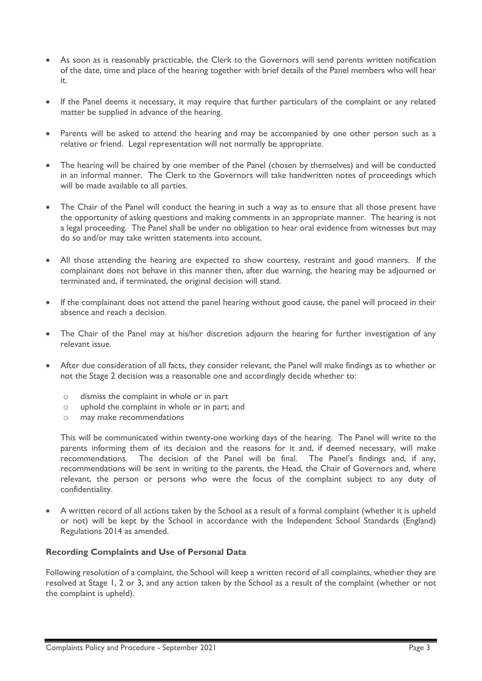- As soon as is reasonably practicable, the Clerk to the Governors will send parents written notification of the date, time and place of the hearing together with brief details of the Panel members who will hear it.
- If the Panel deems it necessary, it may require that further particulars of the complaint or any related matter be supplied in advance of the hearing.
- Parents will be asked to attend the hearing and may be accompanied by one other person such as a relative or friend. Legal representation will not normally be appropriate.
- The hearing will be chaired by one member of the Panel (chosen by themselves) and will be conducted in an informal manner. The Clerk to the Governors will take handwritten notes of proceedings which will be made available to all parties.
- The Chair of the Panel will conduct the hearing in such a way as to ensure that all those present have the opportunity of asking questions and making comments in an appropriate manner. The hearing is not a legal proceeding. The Panel shall be under no obligation to hear oral evidence from witnesses but may do so and/or may take written statements into account.
- All those attending the hearing are expected to show courtesy, restraint and good manners. If the complainant does not behave in this manner then, after due warning, the hearing may be adjourned or terminated and, if terminated, the original decision will stand.
- If the complainant does not attend the panel hearing without good cause, the panel will proceed in their absence and reach a decision.
- The Chair of the Panel may at his/her discretion adjourn the hearing for further investigation of any relevant issue.
- After due consideration of all facts, they consider relevant, the Panel will make findings as to whether or not the Stage 2 decision was a reasonable one and accordingly decide whether to:
	- o dismiss the complaint in whole or in part
	- o uphold the complaint in whole or in part; and
	- o may make recommendations

This will be communicated within twenty-one working days of the hearing. The Panel will write to the parents informing them of its decision and the reasons for it and, if deemed necessary, will make recommendations. The decision of the Panel will be final. The Panel's findings and, if any, recommendations will be sent in writing to the parents, the Head, the Chair of Governors and, where relevant, the person or persons who were the focus of the complaint subject to any duty of confidentiality.

• A written record of all actions taken by the School as a result of a formal complaint (whether it is upheld or not) will be kept by the School in accordance with the Independent School Standards (England) Regulations 2014 as amended.

## **Recording Complaints and Use of Personal Data**

Following resolution of a complaint, the School will keep a written record of all complaints, whether they are resolved at Stage 1, 2 or 3, and any action taken by the School as a result of the complaint (whether or not the complaint is upheld).